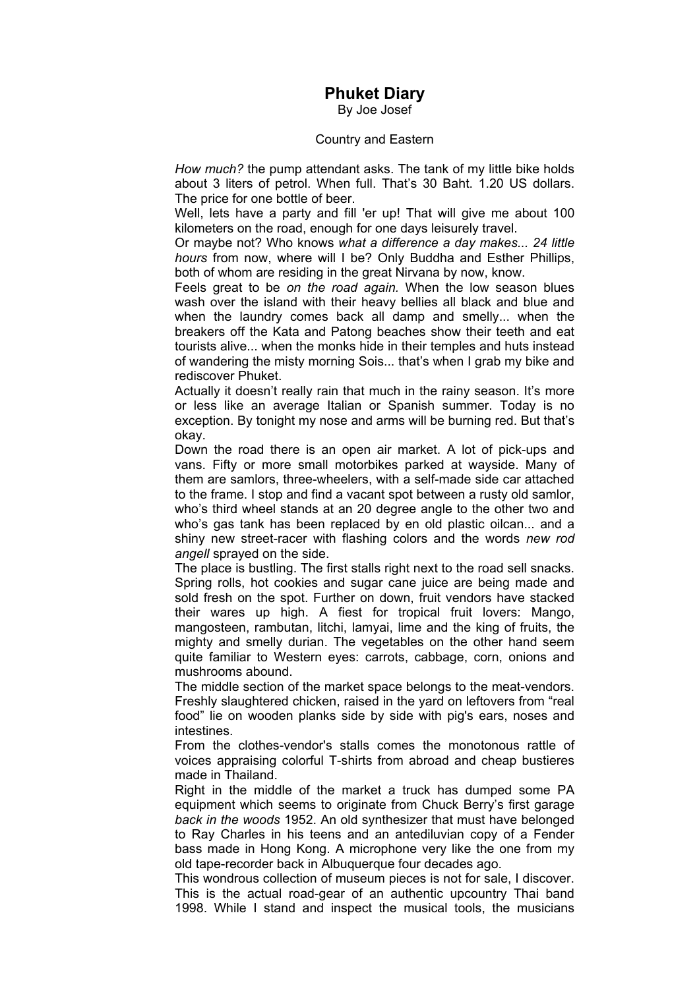## **Phuket Diary**

By Joe Josef

## Country and Eastern

*How much?* the pump attendant asks. The tank of my little bike holds about 3 liters of petrol. When full. That's 30 Baht. 1.20 US dollars. The price for one bottle of beer.

Well, lets have a party and fill 'er up! That will give me about 100 kilometers on the road, enough for one days leisurely travel.

Or maybe not? Who knows *what a difference a day makes... 24 little hours* from now, where will I be? Only Buddha and Esther Phillips, both of whom are residing in the great Nirvana by now, know.

Feels great to be *on the road again.* When the low season blues wash over the island with their heavy bellies all black and blue and when the laundry comes back all damp and smelly... when the breakers off the Kata and Patong beaches show their teeth and eat tourists alive... when the monks hide in their temples and huts instead of wandering the misty morning Sois... that's when I grab my bike and rediscover Phuket.

Actually it doesn't really rain that much in the rainy season. It's more or less like an average Italian or Spanish summer. Today is no exception. By tonight my nose and arms will be burning red. But that's okay.

Down the road there is an open air market. A lot of pick-ups and vans. Fifty or more small motorbikes parked at wayside. Many of them are samlors, three-wheelers, with a self-made side car attached to the frame. I stop and find a vacant spot between a rusty old samlor, who's third wheel stands at an 20 degree angle to the other two and who's gas tank has been replaced by en old plastic oilcan... and a shiny new street-racer with flashing colors and the words *new rod angell* sprayed on the side.

The place is bustling. The first stalls right next to the road sell snacks. Spring rolls, hot cookies and sugar cane juice are being made and sold fresh on the spot. Further on down, fruit vendors have stacked their wares up high. A fiest for tropical fruit lovers: Mango, mangosteen, rambutan, litchi, lamyai, lime and the king of fruits, the mighty and smelly durian. The vegetables on the other hand seem quite familiar to Western eyes: carrots, cabbage, corn, onions and mushrooms abound.

The middle section of the market space belongs to the meat-vendors. Freshly slaughtered chicken, raised in the yard on leftovers from "real food" lie on wooden planks side by side with pig's ears, noses and **intestines** 

From the clothes-vendor's stalls comes the monotonous rattle of voices appraising colorful T-shirts from abroad and cheap bustieres made in Thailand.

Right in the middle of the market a truck has dumped some PA equipment which seems to originate from Chuck Berry's first garage *back in the woods* 1952. An old synthesizer that must have belonged to Ray Charles in his teens and an antediluvian copy of a Fender bass made in Hong Kong. A microphone very like the one from my old tape-recorder back in Albuquerque four decades ago.

This wondrous collection of museum pieces is not for sale, I discover. This is the actual road-gear of an authentic upcountry Thai band 1998. While I stand and inspect the musical tools, the musicians